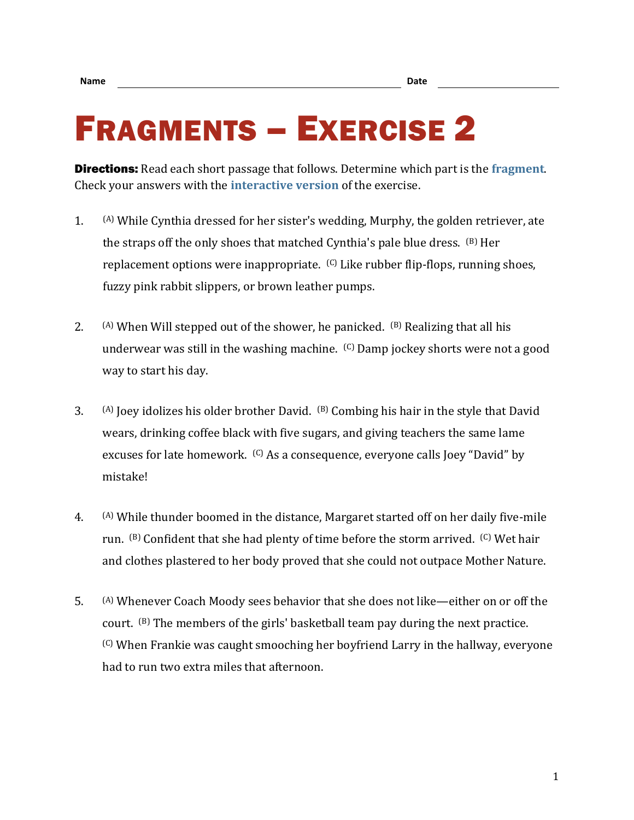## FRAGMENTS – EXERCISE 2

Directions: Read each short passage that follows. Determine which part is the **[fragment](https://chompchomp.com/terms/fragment.htm)**. Check your answers with the **[interactive version](https://chompchomp.com/frag02/)** of the exercise.

- 1.  $(A)$  While Cynthia dressed for her sister's wedding, Murphy, the golden retriever, ate the straps off the only shoes that matched Cynthia's pale blue dress.  $(B)$  Her replacement options were inappropriate. <sup>(C)</sup> Like rubber flip-flops, running shoes, fuzzy pink rabbit slippers, or brown leather pumps.
- 2.  $(A)$  When Will stepped out of the shower, he panicked.  $(B)$  Realizing that all his underwear was still in the washing machine. (C) Damp jockey shorts were not a good way to start his day.
- 3. (A) Joey idolizes his older brother David. (B) Combing his hair in the style that David wears, drinking coffee black with five sugars, and giving teachers the same lame excuses for late homework. <sup>(C)</sup> As a consequence, everyone calls Joey "David" by mistake!
- 4. (A) While thunder boomed in the distance, Margaret started off on her daily five-mile run. (B) Confident that she had plenty of time before the storm arrived. (C) Wet hair and clothes plastered to her body proved that she could not outpace Mother Nature.
- 5. (A) Whenever Coach Moody sees behavior that she does not like—either on or off the court. (B) The members of the girls' basketball team pay during the next practice. (C) When Frankie was caught smooching her boyfriend Larry in the hallway, everyone had to run two extra miles that afternoon.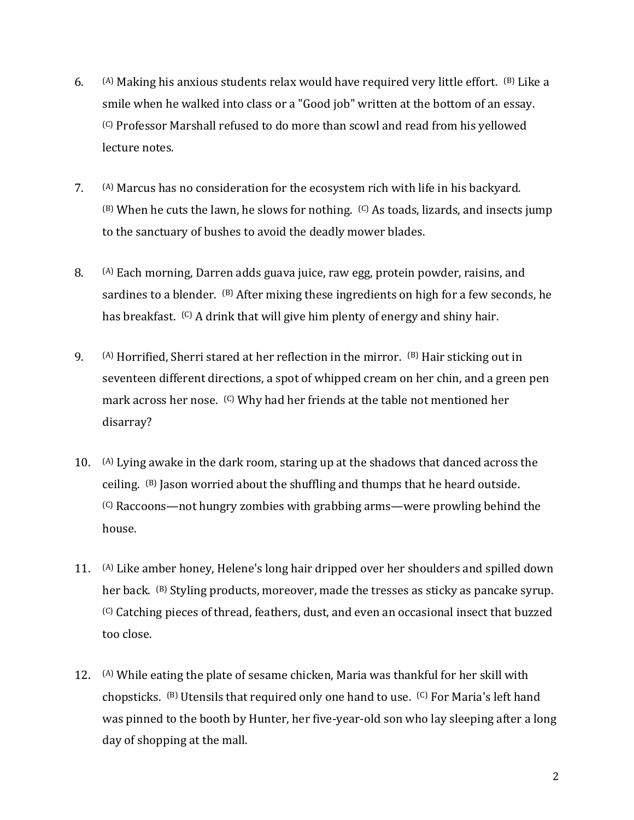- 6.  $(A)$  Making his anxious students relax would have required very little effort.  $(B)$  Like a smile when he walked into class or a "Good job" written at the bottom of an essay. (C) Professor Marshall refused to do more than scowl and read from his yellowed lecture notes.
- 7. (A) Marcus has no consideration for the ecosystem rich with life in his backyard.  $(B)$  When he cuts the lawn, he slows for nothing.  $(C)$  As toads, lizards, and insects jump to the sanctuary of bushes to avoid the deadly mower blades.
- 8. (A) Each morning, Darren adds guava juice, raw egg, protein powder, raisins, and sardines to a blender. <sup>(B)</sup> After mixing these ingredients on high for a few seconds, he has breakfast. <sup>(C)</sup> A drink that will give him plenty of energy and shiny hair.
- 9.  $(A)$  Horrified, Sherri stared at her reflection in the mirror.  $(B)$  Hair sticking out in seventeen different directions, a spot of whipped cream on her chin, and a green pen mark across her nose. <sup>(C)</sup> Why had her friends at the table not mentioned her disarray?
- 10. (A) Lying awake in the dark room, staring up at the shadows that danced across the ceiling.  $(B)$  Jason worried about the shuffling and thumps that he heard outside. (C) Raccoons—not hungry zombies with grabbing arms—were prowling behind the house.
- 11. (A) Like amber honey, Helene's long hair dripped over her shoulders and spilled down her back. (B) Styling products, moreover, made the tresses as sticky as pancake syrup. (C) Catching pieces of thread, feathers, dust, and even an occasional insect that buzzed too close.
- 12.  $(A)$  While eating the plate of sesame chicken, Maria was thankful for her skill with chopsticks. (B) Utensils that required only one hand to use. (C) For Maria's left hand was pinned to the booth by Hunter, her five-year-old son who lay sleeping after a long day of shopping at the mall.